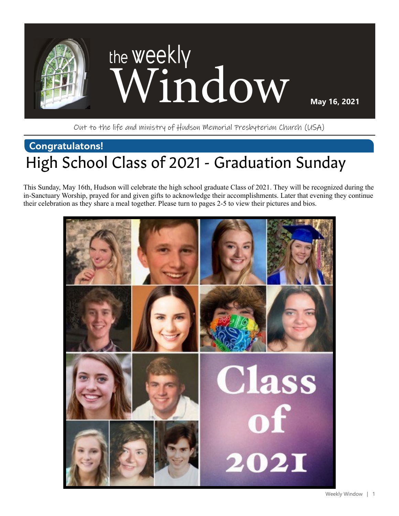

Out to the life and ministry of Hudson Memorial Presbyterian Church (USA)

### **Congratulatons!** High School Class of 2021 - Graduation Sunday

This Sunday, May 16th, Hudson will celebrate the high school graduate Class of 2021. They will be recognized during the in-Sanctuary Worship, prayed for and given gifts to acknowledge their accomplishments. Later that evening they continue their celebration as they share a meal together. Please turn to pages 2-5 to view their pictures and bios.

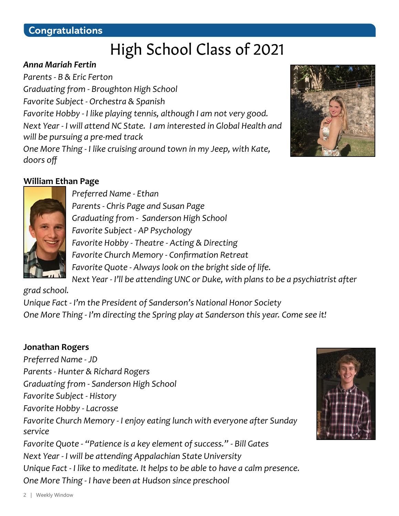### High School Class of 2021

#### *Anna Mariah Fertin*

*Parents - B & Eric Ferton Graduating from - Broughton High School Favorite Subject - Orchestra & Spanish Favorite Hobby - I like playing tennis, although I am not very good. Next Year - I will attend NC State. I am interested in Global Health and will be pursuing a pre-med track One More Thing - I like cruising around town in my Jeep, with Kate, doors off*



#### **William Ethan Page**



*Preferred Name - Ethan Parents - Chris Page and Susan Page Graduating from - Sanderson High School Favorite Subject - AP Psychology Favorite Hobby - Theatre - Acting & Directing Favorite Church Memory - Confirmation Retreat Favorite Quote - Always look on the bright side of life. Next Year - I'll be attending UNC or Duke, with plans to be a psychiatrist after* 

*grad school.* 

*Unique Fact - I'm the President of Sanderson's National Honor Society One More Thing - I'm directing the Spring play at Sanderson this year. Come see it!*

#### **Jonathan Rogers**

*Preferred Name - JD Parents - Hunter & Richard Rogers Graduating from - Sanderson High School Favorite Subject - History Favorite Hobby - Lacrosse Favorite Church Memory - I enjoy eating lunch with everyone after Sunday service Favorite Quote - "Patience is a key element of success." - Bill Gates Next Year - I will be attending Appalachian State University Unique Fact - I like to meditate. It helps to be able to have a calm presence. One More Thing - I have been at Hudson since preschool*

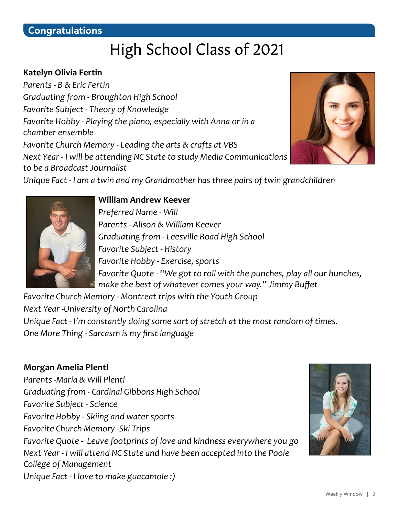### High School Class of 2021

#### **Katelyn Olivia Fertin**

*Parents - B & Eric Fertin Graduating from - Broughton High School Favorite Subject - Theory of Knowledge Favorite Hobby - Playing the piano, especially with Anna or in a chamber ensemble Favorite Church Memory - Leading the arts & crafts at VBS Next Year - I will be attending NC State to study Media Communications to be a Broadcast Journalist*



*Unique Fact - I am a twin and my Grandmother has three pairs of twin grandchildren*



#### **William Andrew Keever**

*Preferred Name - Will Parents - Alison & William Keever Graduating from - Leesville Road High School Favorite Subject - History Favorite Hobby - Exercise, sports Favorite Quote - "We got to roll with the punches, play all our hunches, make the best of whatever comes your way." Jimmy Buffet*

*Favorite Church Memory - Montreat trips with the Youth Group Next Year -University of North Carolina*

*Unique Fact - I'm constantly doing some sort of stretch at the most random of times. One More Thing - Sarcasm is my first language*

#### **Morgan Amelia Plentl**

*Parents -Maria & Will Plentl Graduating from - Cardinal Gibbons High School Favorite Subject - Science Favorite Hobby - Skiing and water sports Favorite Church Memory -Ski Trips Favorite Quote - Leave footprints of love and kindness everywhere you go Next Year - I will attend NC State and have been accepted into the Poole College of Management Unique Fact - I love to make guacamole :)*

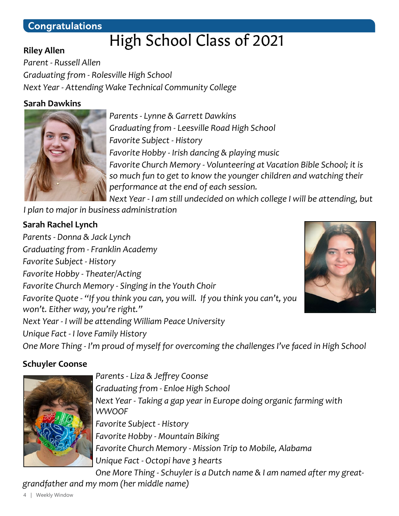#### **Congratulations**

### High School Class of 2021

*Parent - Russell Allen Graduating from - Rolesville High School Next Year - Attending Wake Technical Community College*

#### **Sarah Dawkins**

**Riley Allen**



*Parents - Lynne & Garrett Dawkins Graduating from - Leesville Road High School Favorite Subject - History Favorite Hobby - Irish dancing & playing music Favorite Church Memory - Volunteering at Vacation Bible School; it is so much fun to get to know the younger children and watching their performance at the end of each session.*

*Next Year - I am still undecided on which college I will be attending, but I plan to major in business administration*

#### **Sarah Rachel Lynch**

*Parents - Donna & Jack Lynch Graduating from - Franklin Academy Favorite Subject - History Favorite Hobby - Theater/Acting Favorite Church Memory - Singing in the Youth Choir Favorite Quote - "If you think you can, you will. If you think you can't, you won't. Either way, you're right." Next Year - I will be attending William Peace University Unique Fact - I love Family History One More Thing - I'm proud of myself for overcoming the challenges I've faced in High School*



#### **Schuyler Coonse**



*Parents - Liza & Jeffrey Coonse Graduating from - Enloe High School Next Year - Taking a gap year in Europe doing organic farming with WWOOF Favorite Subject - History Favorite Hobby - Mountain Biking Favorite Church Memory - Mission Trip to Mobile, Alabama Unique Fact - Octopi have 3 hearts One More Thing - Schuyler is a Dutch name & I am named after my great-*

*grandfather and my mom (her middle name)*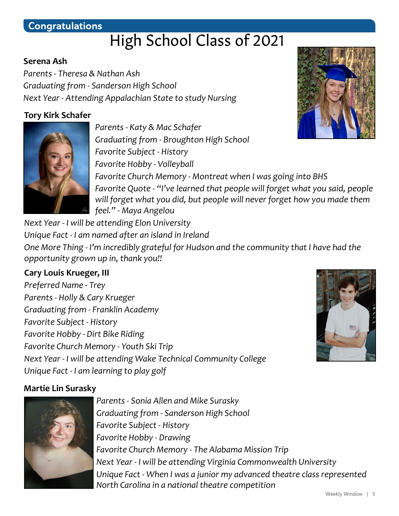#### **Congratulations**

### High School Class of 2021

#### **Serena Ash**

*Parents - Theresa & Nathan Ash Graduating from - Sanderson High School Next Year - Attending Appalachian State to study Nursing*

#### **Tory Kirk Schafer**



*Parents - Katy & Mac Schafer Graduating from - Broughton High School Favorite Subject - History Favorite Hobby - Volleyball Favorite Church Memory - Montreat when I was going into BHS Favorite Quote - "I've learned that people will forget what you said, people will forget what you did, but people will never forget how you made them feel." - Maya Angelou*

*Next Year - I will be attending Elon University Unique Fact - I am named after an island in Ireland One More Thing - I'm incredibly grateful for Hudson and the community that I have had the opportunity grown up in, thank you!!*

#### **Cary Louis Krueger, III**

*Preferred Name - Trey Parents - Holly & Cary Krueger Graduating from - Franklin Academy Favorite Subject - History Favorite Hobby - Dirt Bike Riding Favorite Church Memory - Youth Ski Trip Next Year - I will be attending Wake Technical Community College Unique Fact - I am learning to play golf*

#### **Martie Lin Surasky**



*Parents - Sonia Allen and Mike Surasky Graduating from - Sanderson High School Favorite Subject - History Favorite Hobby - Drawing Favorite Church Memory - The Alabama Mission Trip Next Year - I will be attending Virginia Commonwealth University Unique Fact - When I was a junior my advanced theatre class represented North Carolina in a national theatre competition*

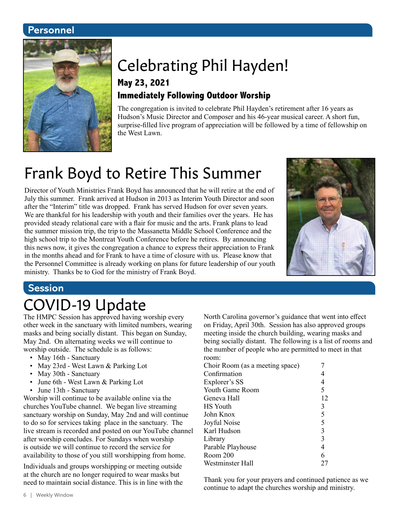#### **Personnel**



# Celebrating Phil Hayden!

#### **May 23, 2021 Immediately Following Outdoor Worship**

The congregation is invited to celebrate Phil Hayden's retirement after 16 years as Hudson's Music Director and Composer and his 46-year musical career. A short fun, surprise-filled live program of appreciation will be followed by a time of fellowship on the West Lawn.

### Frank Boyd to Retire This Summer

Director of Youth Ministries Frank Boyd has announced that he will retire at the end of July this summer. Frank arrived at Hudson in 2013 as Interim Youth Director and soon after the "Interim" title was dropped. Frank has served Hudson for over seven years. We are thankful for his leadership with youth and their families over the years. He has provided steady relational care with a flair for music and the arts. Frank plans to lead the summer mission trip, the trip to the Massanetta Middle School Conference and the high school trip to the Montreat Youth Conference before he retires. By announcing this news now, it gives the congregation a chance to express their appreciation to Frank in the months ahead and for Frank to have a time of closure with us. Please know that the Personnel Committee is already working on plans for future leadership of our youth ministry. Thanks be to God for the ministry of Frank Boyd.



#### **Session**

### COVID-19 Update

The HMPC Session has approved having worship every other week in the sanctuary with limited numbers, wearing masks and being socially distant. This began on Sunday, May 2nd. On alternating weeks we will continue to worship outside. The schedule is as follows:

- May 16th Sanctuary
- May 23rd West Lawn & Parking Lot
- May 30th Sanctuary
- June 6th West Lawn & Parking Lot
- June 13th Sanctuary

Worship will continue to be available online via the churches YouTube channel. We began live streaming sanctuary worship on Sunday, May 2nd and will continue to do so for services taking place in the sanctuary. The live stream is recorded and posted on our YouTube channel after worship concludes. For Sundays when worship is outside we will continue to record the service for availability to those of you still worshipping from home.

Individuals and groups worshipping or meeting outside at the church are no longer required to wear masks but need to maintain social distance. This is in line with the North Carolina governor's guidance that went into effect on Friday, April 30th. Session has also approved groups meeting inside the church building, wearing masks and being socially distant. The following is a list of rooms and the number of people who are permitted to meet in that room:

| Choir Room (as a meeting space) |                |
|---------------------------------|----------------|
| Confirmation                    |                |
| Explorer's SS                   |                |
| Youth Game Room                 | 5              |
| Geneva Hall                     | 12             |
| <b>HS</b> Youth                 | 3              |
| John Knox                       | 5              |
| Joyful Noise                    | 5              |
| Karl Hudson                     | $\mathfrak{Z}$ |
| Library                         | 3              |
| Parable Playhouse               | 4              |
| Room 200                        | 6              |
| Westminster Hall                |                |

Thank you for your prayers and continued patience as we continue to adapt the churches worship and ministry.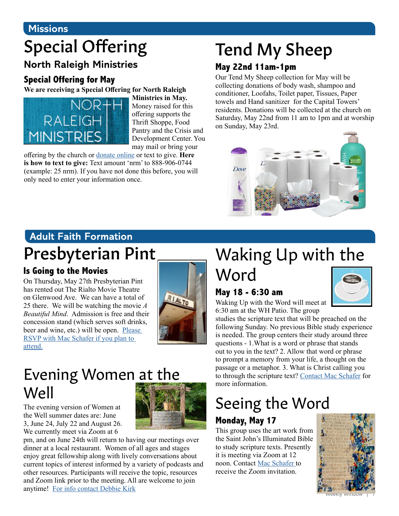#### **Missions**

# Special Offering

#### **North Raleigh Ministries**

#### **Special Offering for May**

**We are receiving a Special Offering for North Raleigh** 



**Ministries in May.** Money raised for this offering supports the Thrift Shoppe, Food Pantry and the Crisis and Development Center. You may mail or bring your

offering by the church or [donate online](https://www.eservicepayments.com/cgi-bin/Vanco_ver3.vps?appver3=Fi1giPL8kwX_Oe1AO50jRnQ574HZh5kFEHVJ6e5We_Us4NSQukCYDzKLUtTTUlsf2EvVVAEjqawDomKT1pbouTsRltlX7QEmZN4jxtbsYBc=&ver=3) or text to give. **Here is how to text to give:** Text amount 'nrm' to 888-906-0744 (example: 25 nrm). If you have not done this before, you will only need to enter your information once.

# Tend My Sheep

#### **May 22nd 11am-1pm**

Our Tend My Sheep collection for May will be collecting donations of body wash, shampoo and conditioner, Loofahs, Toilet paper, Tissues, Paper towels and Hand sanitizer for the Capital Towers' residents. Donations will be collected at the church on Saturday, May 22nd from 11 am to 1pm and at worship on Sunday, May 23rd.



### **Adult Faith Formation**

### Presbyterian Pint

#### **Is Going to the Movies**

On Thursday, May 27th Presbyterian Pint has rented out The Rialto Movie Theatre on Glenwood Ave. We can have a total of 25 there. We will be watching the movie *A Beautiful Mind*. Admission is free and their concession stand (which serves soft drinks, beer and wine, etc.) will be open. Please [RSVP with Mac Schafer if you plan to](mailto:mschafer%40hmpc.org?subject=)  [attend.](mailto:mschafer%40hmpc.org?subject=)



### Evening Women at the Well

The evening version of Women at the Well summer dates are: June 3, June 24, July 22 and August 26. We currently meet via Zoom at 6



### Waking Up with the Word

#### **May 18 - 6:30 am**

Waking Up with the Word will meet at 6:30 am at the WH Patio. The group

studies the scripture text that will be preached on the following Sunday. No previous Bible study experience is needed. The group centers their study around three questions - 1.What is a word or phrase that stands out to you in the text? 2. Allow that word or phrase to prompt a memory from your life, a thought on the passage or a metaphor. 3. What is Christ calling you to through the scripture text? [Contact Mac Schafer](mailto:mschafer%40hmpc.org?subject=) for more information.

# Seeing the Word

#### **Monday, May 17**

This group uses the art work from the Saint John's Illuminated Bible to study scripture texts. Presently it is meeting via Zoom at 12 noon. Contact Mac Schafer to receive the Zoom invitation.



Weekly Window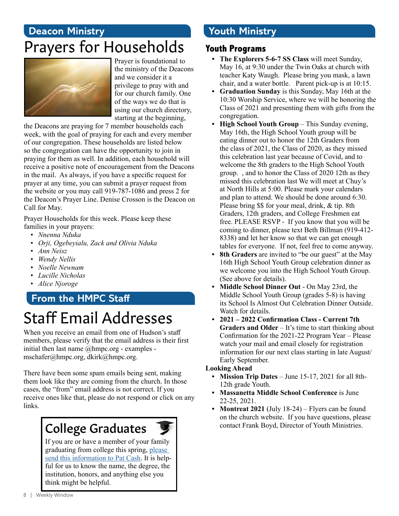### **Deacon Ministry** Prayers for Households



Prayer is foundational to the ministry of the Deacons and we consider it a privilege to pray with and for our church family. One of the ways we do that is using our church directory, starting at the beginning,

the Deacons are praying for 7 member households each week, with the goal of praying for each and every member of our congregation. These households are listed below so the congregation can have the opportunity to join in praying for them as well. In addition, each household will receive a positive note of encouragement from the Deacons in the mail. As always, if you have a specific request for prayer at any time, you can submit a prayer request from the website or you may call 919-787-1086 and press 2 for the Deacon's Prayer Line. Denise Crosson is the Deacon on Call for May.

Prayer Households for this week. Please keep these families in your prayers:

- *• Nnenna Nduka*
- *• Orji, Ogebeyialu, Zack and Olivia Nduka*
- *• Ann Neisz*
- *• Wendy Nellis*
- *• Noelle Newnam*
- *• Lucille Nicholas*
- *• Alice Njoroge*

## **From the HMPC Staff**

### Staff Email Addresses

When you receive an email from one of Hudson's staff members, please verify that the email address is their first initial then last name @hmpc.org - examples mschafer@hmpc.org, dkirk@hmpc.org.

There have been some spam emails being sent, making them look like they are coming from the church. In those cases, the "from" email address is not correct. If you receive ones like that, please do not respond or click on any links.

### College Graduates

If you are or have a member of your family graduating from college this spring, [please](mailto:pcash%40hmpc.org?subject=)  [send this information to Pat Cash.](mailto:pcash%40hmpc.org?subject=) It is helpful for us to know the name, the degree, the institution, honors, and anything else you think might be helpful.

### **Youth Ministry**

#### **Youth Programs**

- **• The Explorers 5-6-7 SS Class** will meet Sunday, May 16, at 9:30 under the Twin Oaks at church with teacher Katy Waugh. Please bring you mask, a lawn chair, and a water bottle. Parent pick-up is at 10:15.
- **• Graduation Sunday** is this Sunday, May 16th at the 10:30 Worship Service, where we will be honoring the Class of 2021 and presenting them with gifts from the congregation.
- **High School Youth Group** This Sunday evening, May 16th, the High School Youth group will be eating dinner out to honor the 12th Graders from the class of 2021, the Class of 2020, as they missed this celebration last year because of Covid, and to welcome the 8th graders to the High School Youth group. , and to honor the Class of 2020 12th as they missed this celebration last We will meet at Chuy's at North Hills at 5:00. Please mark your calendars and plan to attend. We should be done around 6:30. Please bring \$\$ for your meal, drink, & tip. 8th Graders, 12th graders, and College Freshmen eat free. PLEASE RSVP - If you know that you will be coming to dinner, please text Beth Billman (919-412- 8338) and let her know so that we can get enough tables for everyone. If not, feel free to come anyway.
- **• 8th Graders** are invited to "be our guest" at the May 16th High School Youth Group celebration dinner as we welcome you into the High School Youth Group. (See above for details).
- **• Middle School Dinner Out** On May 23rd, the Middle School Youth Group (grades 5-8) is having its School Is Almost Out Celebration Dinner Outside. Watch for details.
- **• 2021 2022 Confirmation Class Current 7th Graders and Older** – It's time to start thinking about Confirmation for the 2021-22 Program Year – Please watch your mail and email closely for registration information for our next class starting in late August/ Early September.

#### **Looking Ahead**

- **• Mission Trip Dates**  June 15-17, 2021 for all 8th-12th grade Youth.
- **• Massanetta Middle School Conference** is June 22-25, 2021.
- **• Montreat 2021** (July 18-24) Flyers can be found on the church website. If you have questions, please contact Frank Boyd, Director of Youth Ministries.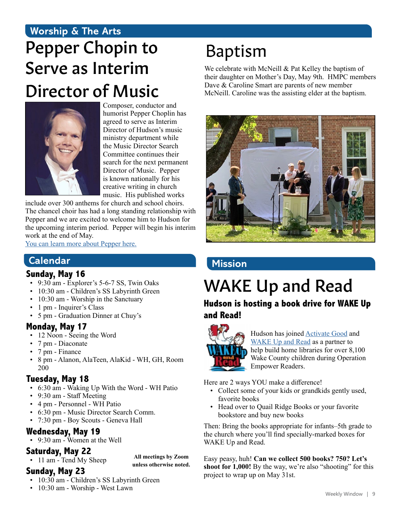### **Worship & The Arts** Pepper Chopin to Serve as Interim Director of Music



Composer, conductor and humorist Pepper Choplin has agreed to serve as Interim Director of Hudson's music ministry department while the Music Director Search Committee continues their search for the next permanent Director of Music. Pepper is known nationally for his creative writing in church music. His published works

include over 300 anthems for church and school choirs. The chancel choir has had a long standing relationship with Pepper and we are excited to welcome him to Hudson for the upcoming interim period. Pepper will begin his interim work at the end of May.

[You can learn more about Pepper here.](http://www.pepperchoplin.com)

#### **Calendar**

#### **Sunday, May 16**

- 9:30 am Explorer's 5-6-7 SS, Twin Oaks
- 10:30 am Children's SS Labyrinth Green
- 10:30 am Worship in the Sanctuary
- 1 pm Inquirer's Class
- 5 pm Graduation Dinner at Chuy's

#### **Monday, May 17**

- 12 Noon Seeing the Word
- 7 pm Diaconate
- 7 pm Finance
- 8 pm Alanon, AlaTeen, AlaKid WH, GH, Room 200

#### **Tuesday, May 18**

- 6:30 am Waking Up With the Word WH Patio
- 9:30 am Staff Meeting
- 4 pm Personnel WH Patio
- 6:30 pm Music Director Search Comm.
- 7:30 pm Boy Scouts Geneva Hall

#### **Wednesday, May 19**

• 9:30 am - Women at the Well

#### **Saturday, May 22**

• 11 am - Tend My Sheep

**All meetings by Zoom unless otherwise noted.**

#### **Sunday, May 23**

- 10:30 am Children's SS Labyrinth Green
- 10:30 am Worship West Lawn

### Baptism

We celebrate with McNeill & Pat Kelley the baptism of their daughter on Mother's Day, May 9th. HMPC members Dave & Caroline Smart are parents of new member McNeill. Caroline was the assisting elder at the baptism.



#### **Mission**

# WAKE Up and Read

**Hudson is hosting a book drive for WAKE Up and Read!**



Hudson has joined [Activate Good](https://activategood.org/about/) and [WAKE Up and Read](https://wakeupandread.org/) as a partner to help build home libraries for over 8,100 Wake County children during Operation Empower Readers.

Here are 2 ways YOU make a difference!

- Collect some of your kids or grandkids gently used, favorite books
- Head over to Quail Ridge Books or your favorite bookstore and buy new books

Then: Bring the books appropriate for infants–5th grade to the church where you'll find specially-marked boxes for WAKE Up and Read.

Easy peasy, huh! **Can we collect 500 books? 750? Let's shoot for 1,000!** By the way, we're also "shooting" for this project to wrap up on May 31st.